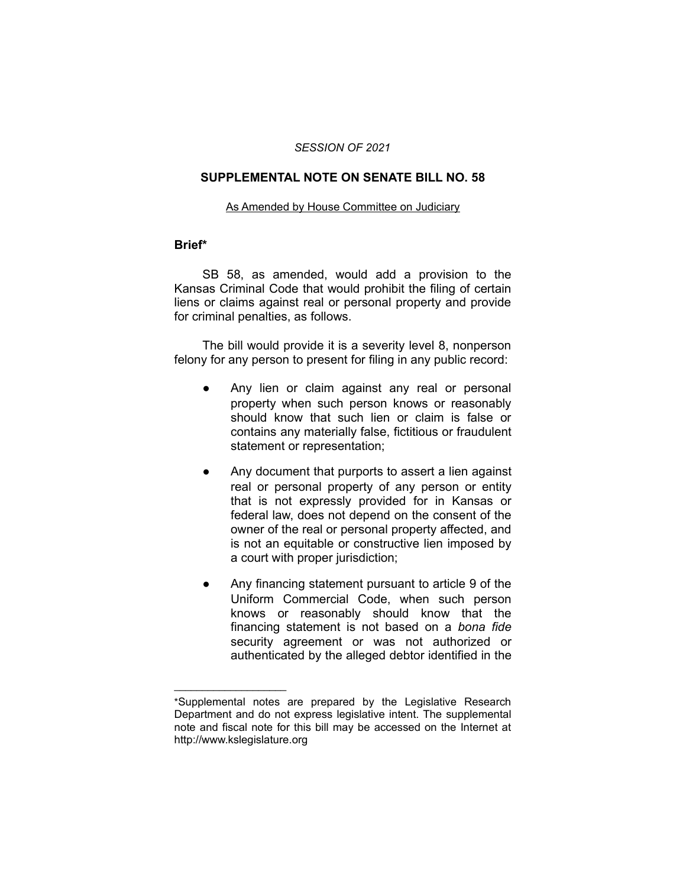#### *SESSION OF 2021*

### **SUPPLEMENTAL NOTE ON SENATE BILL NO. 58**

#### As Amended by House Committee on Judiciary

#### **Brief\***

SB 58, as amended, would add a provision to the Kansas Criminal Code that would prohibit the filing of certain liens or claims against real or personal property and provide for criminal penalties, as follows.

The bill would provide it is a severity level 8, nonperson felony for any person to present for filing in any public record:

- Any lien or claim against any real or personal property when such person knows or reasonably should know that such lien or claim is false or contains any materially false, fictitious or fraudulent statement or representation;
- Any document that purports to assert a lien against real or personal property of any person or entity that is not expressly provided for in Kansas or federal law, does not depend on the consent of the owner of the real or personal property affected, and is not an equitable or constructive lien imposed by a court with proper jurisdiction;
- Any financing statement pursuant to article 9 of the Uniform Commercial Code, when such person knows or reasonably should know that the financing statement is not based on a *bona fide* security agreement or was not authorized or authenticated by the alleged debtor identified in the

 $\overline{\phantom{a}}$  , where  $\overline{\phantom{a}}$  , where  $\overline{\phantom{a}}$ 

<sup>\*</sup>Supplemental notes are prepared by the Legislative Research Department and do not express legislative intent. The supplemental note and fiscal note for this bill may be accessed on the Internet at http://www.kslegislature.org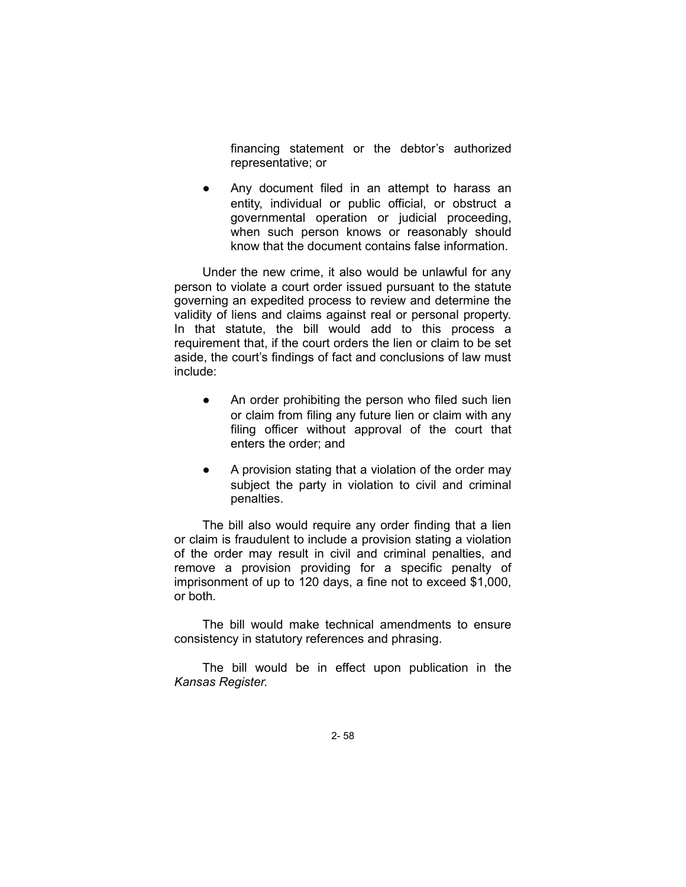financing statement or the debtor's authorized representative; or

● Any document filed in an attempt to harass an entity, individual or public official, or obstruct a governmental operation or judicial proceeding, when such person knows or reasonably should know that the document contains false information.

Under the new crime, it also would be unlawful for any person to violate a court order issued pursuant to the statute governing an expedited process to review and determine the validity of liens and claims against real or personal property. In that statute, the bill would add to this process a requirement that, if the court orders the lien or claim to be set aside, the court's findings of fact and conclusions of law must include:

- An order prohibiting the person who filed such lien or claim from filing any future lien or claim with any filing officer without approval of the court that enters the order; and
- A provision stating that a violation of the order may subject the party in violation to civil and criminal penalties.

The bill also would require any order finding that a lien or claim is fraudulent to include a provision stating a violation of the order may result in civil and criminal penalties, and remove a provision providing for a specific penalty of imprisonment of up to 120 days, a fine not to exceed \$1,000, or both.

The bill would make technical amendments to ensure consistency in statutory references and phrasing.

The bill would be in effect upon publication in the *Kansas Register.*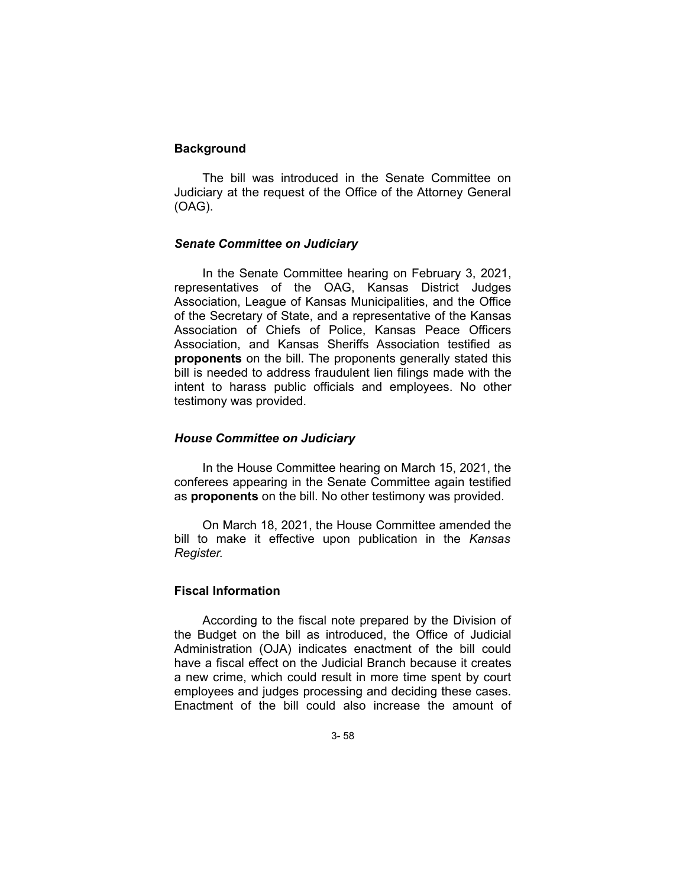# **Background**

The bill was introduced in the Senate Committee on Judiciary at the request of the Office of the Attorney General (OAG).

# *Senate Committee on Judiciary*

In the Senate Committee hearing on February 3, 2021, representatives of the OAG, Kansas District Judges Association, League of Kansas Municipalities, and the Office of the Secretary of State, and a representative of the Kansas Association of Chiefs of Police, Kansas Peace Officers Association, and Kansas Sheriffs Association testified as **proponents** on the bill. The proponents generally stated this bill is needed to address fraudulent lien filings made with the intent to harass public officials and employees. No other testimony was provided.

### *House Committee on Judiciary*

In the House Committee hearing on March 15, 2021, the conferees appearing in the Senate Committee again testified as **proponents** on the bill. No other testimony was provided.

On March 18, 2021, the House Committee amended the bill to make it effective upon publication in the *Kansas Register.*

# **Fiscal Information**

According to the fiscal note prepared by the Division of the Budget on the bill as introduced, the Office of Judicial Administration (OJA) indicates enactment of the bill could have a fiscal effect on the Judicial Branch because it creates a new crime, which could result in more time spent by court employees and judges processing and deciding these cases. Enactment of the bill could also increase the amount of